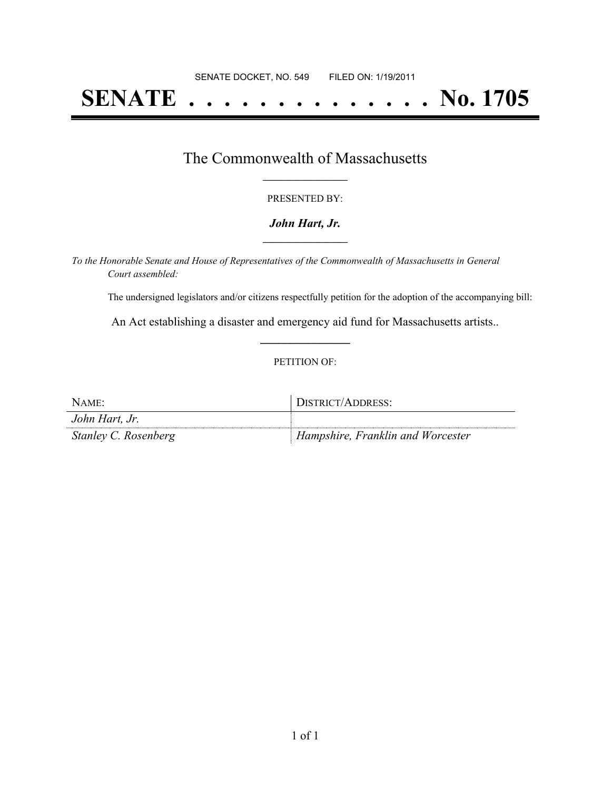# **SENATE . . . . . . . . . . . . . . No. 1705**

## The Commonwealth of Massachusetts **\_\_\_\_\_\_\_\_\_\_\_\_\_\_\_\_\_**

#### PRESENTED BY:

#### *John Hart, Jr.* **\_\_\_\_\_\_\_\_\_\_\_\_\_\_\_\_\_**

*To the Honorable Senate and House of Representatives of the Commonwealth of Massachusetts in General Court assembled:*

The undersigned legislators and/or citizens respectfully petition for the adoption of the accompanying bill:

An Act establishing a disaster and emergency aid fund for Massachusetts artists.. **\_\_\_\_\_\_\_\_\_\_\_\_\_\_\_**

#### PETITION OF:

| NAME:                | DISTRICT/ADDRESS:                 |
|----------------------|-----------------------------------|
| John Hart, Jr.       |                                   |
| Stanley C. Rosenberg | Hampshire, Franklin and Worcester |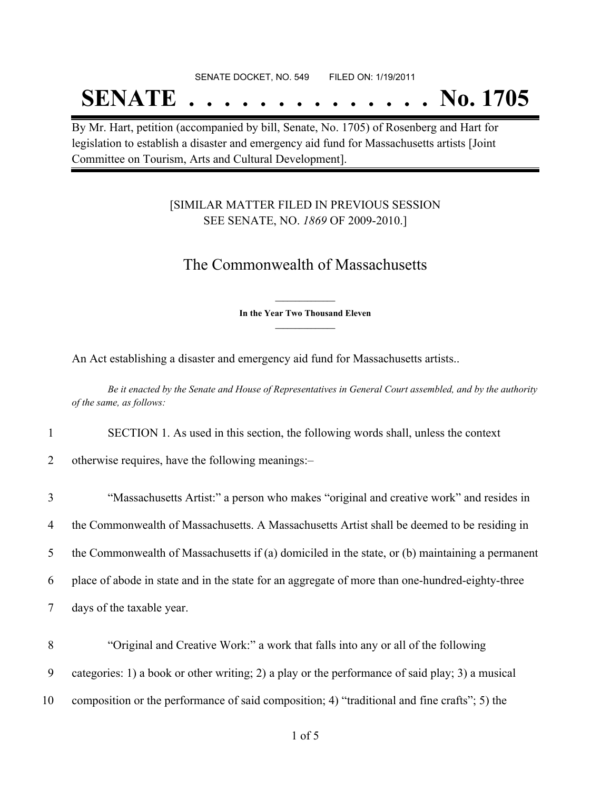#### SENATE DOCKET, NO. 549 FILED ON: 1/19/2011

## **SENATE . . . . . . . . . . . . . . No. 1705**

By Mr. Hart, petition (accompanied by bill, Senate, No. 1705) of Rosenberg and Hart for legislation to establish a disaster and emergency aid fund for Massachusetts artists [Joint Committee on Tourism, Arts and Cultural Development].

### [SIMILAR MATTER FILED IN PREVIOUS SESSION SEE SENATE, NO. *1869* OF 2009-2010.]

## The Commonwealth of Massachusetts

**\_\_\_\_\_\_\_\_\_\_\_\_\_\_\_ In the Year Two Thousand Eleven \_\_\_\_\_\_\_\_\_\_\_\_\_\_\_**

An Act establishing a disaster and emergency aid fund for Massachusetts artists..

Be it enacted by the Senate and House of Representatives in General Court assembled, and by the authority *of the same, as follows:*

1 SECTION 1. As used in this section, the following words shall, unless the context

2 otherwise requires, have the following meanings:–

 "Massachusetts Artist:" a person who makes "original and creative work" and resides in the Commonwealth of Massachusetts. A Massachusetts Artist shall be deemed to be residing in the Commonwealth of Massachusetts if (a) domiciled in the state, or (b) maintaining a permanent place of abode in state and in the state for an aggregate of more than one-hundred-eighty-three days of the taxable year.

8 "Original and Creative Work:" a work that falls into any or all of the following 9 categories: 1) a book or other writing; 2) a play or the performance of said play; 3) a musical

10 composition or the performance of said composition; 4) "traditional and fine crafts"; 5) the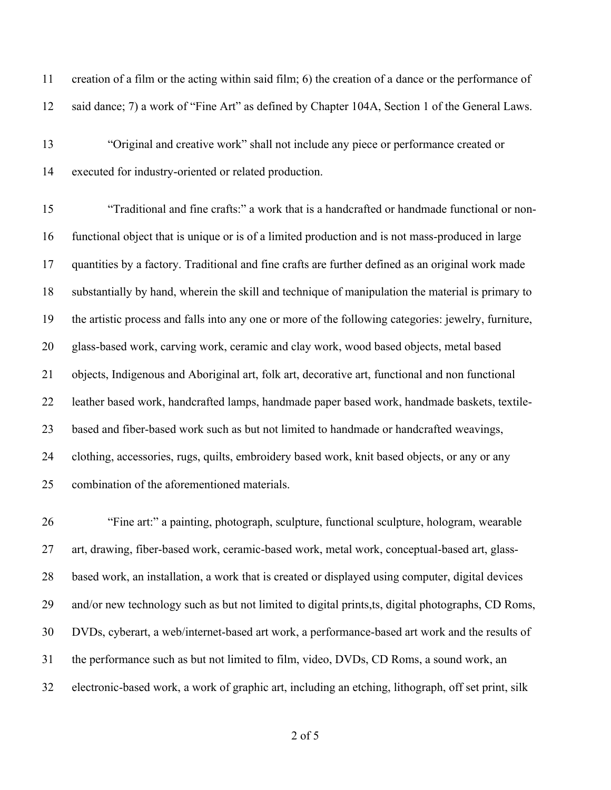| 11 | creation of a film or the acting within said film; 6) the creation of a dance or the performance of  |
|----|------------------------------------------------------------------------------------------------------|
| 12 | said dance; 7) a work of "Fine Art" as defined by Chapter 104A, Section 1 of the General Laws.       |
| 13 | "Original and creative work" shall not include any piece or performance created or                   |
| 14 | executed for industry-oriented or related production.                                                |
| 15 | "Traditional and fine crafts:" a work that is a handcrafted or handmade functional or non-           |
| 16 | functional object that is unique or is of a limited production and is not mass-produced in large     |
| 17 | quantities by a factory. Traditional and fine crafts are further defined as an original work made    |
| 18 | substantially by hand, wherein the skill and technique of manipulation the material is primary to    |
| 19 | the artistic process and falls into any one or more of the following categories: jewelry, furniture, |
| 20 | glass-based work, carving work, ceramic and clay work, wood based objects, metal based               |
| 21 | objects, Indigenous and Aboriginal art, folk art, decorative art, functional and non functional      |
| 22 | leather based work, handcrafted lamps, handmade paper based work, handmade baskets, textile-         |
| 23 | based and fiber-based work such as but not limited to handmade or handcrafted weavings,              |
| 24 | clothing, accessories, rugs, quilts, embroidery based work, knit based objects, or any or any        |
| 25 | combination of the aforementioned materials.                                                         |
| 26 | "Fine art:" a painting, photograph, sculpture, functional sculpture, hologram, wearable              |
| 27 | art, drawing, fiber-based work, ceramic-based work, metal work, conceptual-based art, glass-         |

and/or new technology such as but not limited to digital prints,ts, digital photographs, CD Roms,

based work, an installation, a work that is created or displayed using computer, digital devices

DVDs, cyberart, a web/internet-based art work, a performance-based art work and the results of

the performance such as but not limited to film, video, DVDs, CD Roms, a sound work, an

electronic-based work, a work of graphic art, including an etching, lithograph, off set print, silk

of 5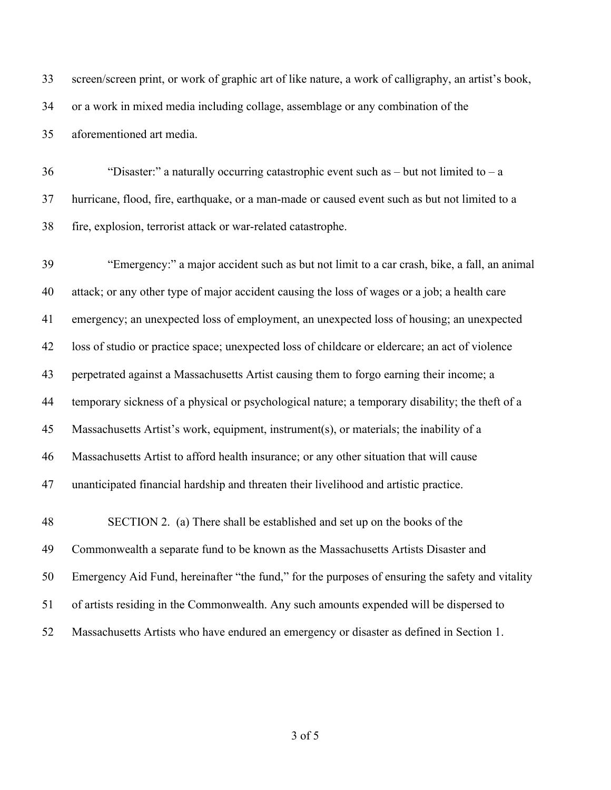screen/screen print, or work of graphic art of like nature, a work of calligraphy, an artist's book, or a work in mixed media including collage, assemblage or any combination of the aforementioned art media.

 "Disaster:" a naturally occurring catastrophic event such as – but not limited to – a hurricane, flood, fire, earthquake, or a man-made or caused event such as but not limited to a fire, explosion, terrorist attack or war-related catastrophe.

 "Emergency:" a major accident such as but not limit to a car crash, bike, a fall, an animal attack; or any other type of major accident causing the loss of wages or a job; a health care emergency; an unexpected loss of employment, an unexpected loss of housing; an unexpected loss of studio or practice space; unexpected loss of childcare or eldercare; an act of violence perpetrated against a Massachusetts Artist causing them to forgo earning their income; a temporary sickness of a physical or psychological nature; a temporary disability; the theft of a Massachusetts Artist's work, equipment, instrument(s), or materials; the inability of a Massachusetts Artist to afford health insurance; or any other situation that will cause unanticipated financial hardship and threaten their livelihood and artistic practice. SECTION 2. (a) There shall be established and set up on the books of the Commonwealth a separate fund to be known as the Massachusetts Artists Disaster and Emergency Aid Fund, hereinafter "the fund," for the purposes of ensuring the safety and vitality of artists residing in the Commonwealth. Any such amounts expended will be dispersed to Massachusetts Artists who have endured an emergency or disaster as defined in Section 1.

of 5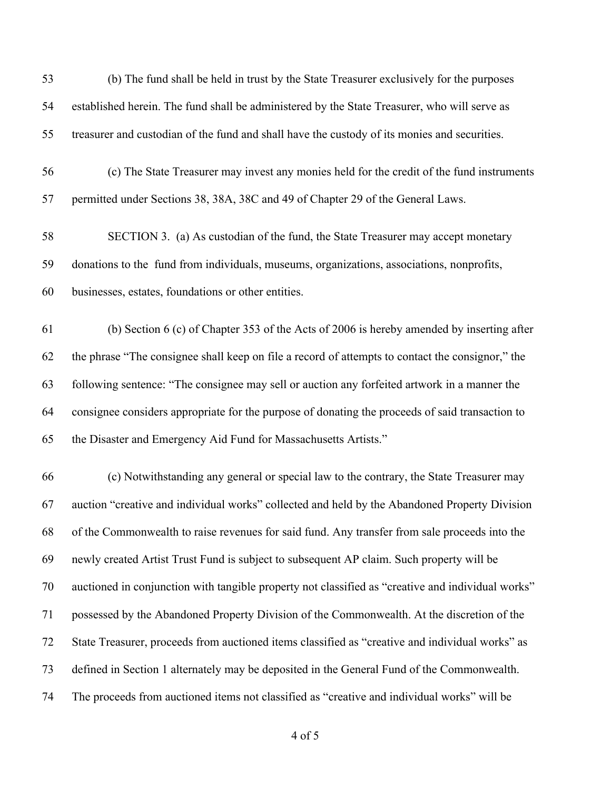| 53 | (b) The fund shall be held in trust by the State Treasurer exclusively for the purposes           |
|----|---------------------------------------------------------------------------------------------------|
| 54 | established herein. The fund shall be administered by the State Treasurer, who will serve as      |
| 55 | treasurer and custodian of the fund and shall have the custody of its monies and securities.      |
| 56 | (c) The State Treasurer may invest any monies held for the credit of the fund instruments         |
| 57 | permitted under Sections 38, 38A, 38C and 49 of Chapter 29 of the General Laws.                   |
| 58 | SECTION 3. (a) As custodian of the fund, the State Treasurer may accept monetary                  |
| 59 | donations to the fund from individuals, museums, organizations, associations, nonprofits,         |
| 60 | businesses, estates, foundations or other entities.                                               |
| 61 | (b) Section 6 (c) of Chapter 353 of the Acts of 2006 is hereby amended by inserting after         |
| 62 | the phrase "The consignee shall keep on file a record of attempts to contact the consignor," the  |
| 63 | following sentence: "The consignee may sell or auction any forfeited artwork in a manner the      |
| 64 | consignee considers appropriate for the purpose of donating the proceeds of said transaction to   |
| 65 | the Disaster and Emergency Aid Fund for Massachusetts Artists."                                   |
| 66 | (c) Notwithstanding any general or special law to the contrary, the State Treasurer may           |
| 67 | auction "creative and individual works" collected and held by the Abandoned Property Division     |
| 68 | of the Commonwealth to raise revenues for said fund. Any transfer from sale proceeds into the     |
| 69 | newly created Artist Trust Fund is subject to subsequent AP claim. Such property will be          |
| 70 | auctioned in conjunction with tangible property not classified as "creative and individual works" |
| 71 | possessed by the Abandoned Property Division of the Commonwealth. At the discretion of the        |
| 72 | State Treasurer, proceeds from auctioned items classified as "creative and individual works" as   |
| 73 | defined in Section 1 alternately may be deposited in the General Fund of the Commonwealth.        |
| 74 | The proceeds from auctioned items not classified as "creative and individual works" will be       |

of 5